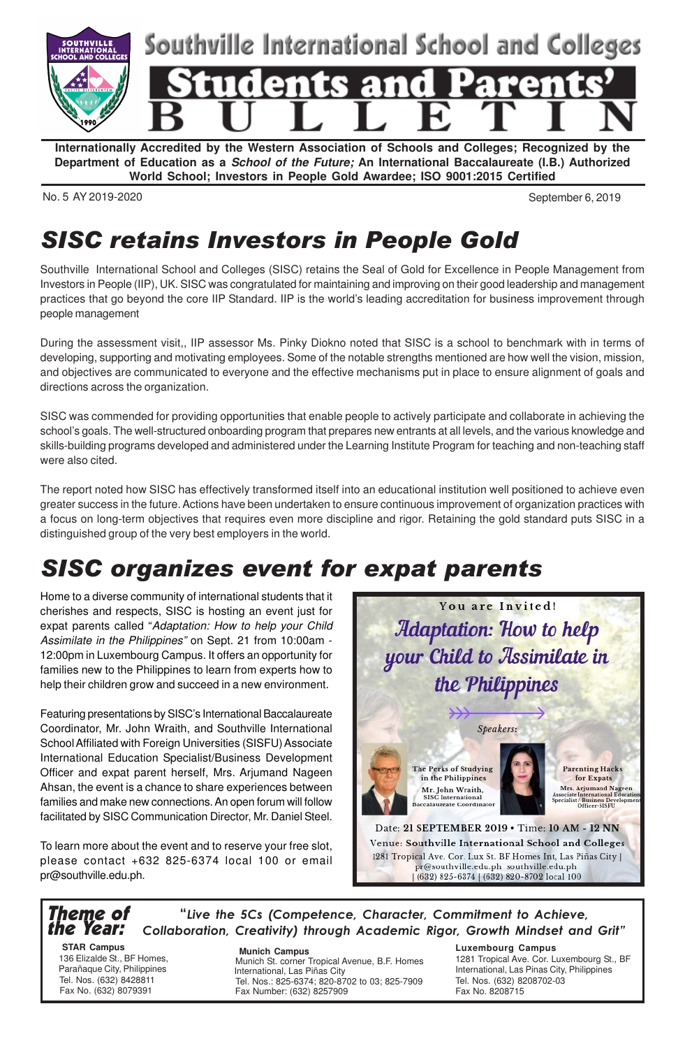

**Internationally Accredited by the Western Association of Schools and Colleges; Recognized by the Department of Education as a School of the Future; An International Baccalaureate (I.B.) Authorized World School; Investors in People Gold Awardee; ISO 9001:2015 Certified**

No. 5 AY 2019-2020 September 6, 2019

## SISC retains Investors in People Gold

Southville International School and Colleges (SISC) retains the Seal of Gold for Excellence in People Management from Investors in People (IIP), UK. SISC was congratulated for maintaining and improving on their good leadership and management practices that go beyond the core IIP Standard. IIP is the world's leading accreditation for business improvement through people management

During the assessment visit,, IIP assessor Ms. Pinky Diokno noted that SISC is a school to benchmark with in terms of developing, supporting and motivating employees. Some of the notable strengths mentioned are how well the vision, mission, and objectives are communicated to everyone and the effective mechanisms put in place to ensure alignment of goals and directions across the organization.

SISC was commended for providing opportunities that enable people to actively participate and collaborate in achieving the school's goals. The well-structured onboarding program that prepares new entrants at all levels, and the various knowledge and skills-building programs developed and administered under the Learning Institute Program for teaching and non-teaching staff were also cited.

The report noted how SISC has effectively transformed itself into an educational institution well positioned to achieve even greater success in the future. Actions have been undertaken to ensure continuous improvement of organization practices with a focus on long-term objectives that requires even more discipline and rigor. Retaining the gold standard puts SISC in a distinguished group of the very best employers in the world.

# SISC organizes event for expat parents

Home to a diverse community of international students that it cherishes and respects, SISC is hosting an event just for expat parents called "Adaptation: How to help your Child Assimilate in the Philippines" on Sept. 21 from 10:00am - 12:00pm in Luxembourg Campus. It offers an opportunity for families new to the Philippines to learn from experts how to help their children grow and succeed in a new environment.

Featuring presentations by SISC's International Baccalaureate Coordinator, Mr. John Wraith, and Southville International School Affiliated with Foreign Universities (SISFU) Associate International Education Specialist/Business Development Officer and expat parent herself, Mrs. Arjumand Nageen Ahsan, the event is a chance to share experiences between families and make new connections. An open forum will follow facilitated by SISC Communication Director, Mr. Daniel Steel.

To learn more about the event and to reserve your free slot, please contact +632 825-6374 local 100 or email pr@southville.edu.ph.



#### Theme of the Year: "Live the 5Cs (Competence, Character, Commitment to Achieve, Collaboration, Creativity) through Academic Rigor, Growth Mindset and Grit"

 **STAR Campus** 136 Elizalde St., BF Homes, Parañaque City, Philippines Tel. Nos. (632) 8428811 Fax No. (632) 8079391

 **Munich Campus** Munich St. corner Tropical Avenue, B.F. Homes International, Las Piñas City Tel. Nos.: 825-6374; 820-8702 to 03; 825-7909 Fax Number: (632) 8257909

### **Luxembourg Campus**

1281 Tropical Ave. Cor. Luxembourg St., BF International, Las Pinas City, Philippines Tel. Nos. (632) 8208702-03 Fax No. 8208715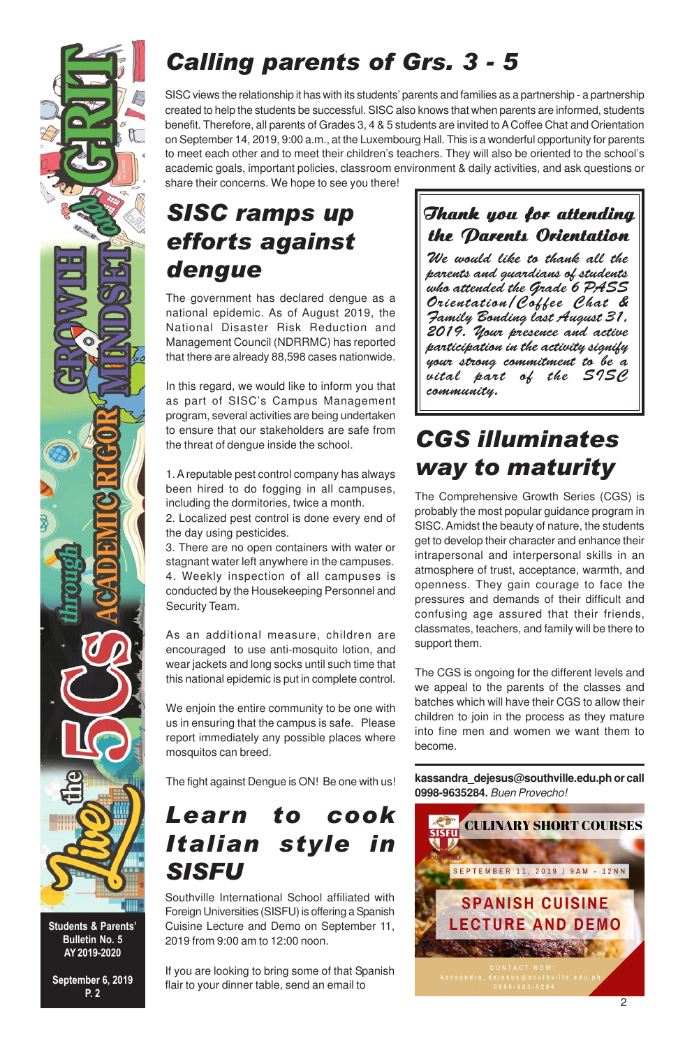

Students & Parents' Bulletin No. 5 AY 2019-2020

September 6, 2019 P. 2

## Calling parents of Grs. 3 - 5

SISC views the relationship it has with its students' parents and families as a partnership - a partnership created to help the students be successful. SISC also knows that when parents are informed, students benefit. Therefore, all parents of Grades 3, 4 & 5 students are invited to A Coffee Chat and Orientation on September 14, 2019, 9:00 a.m., at the Luxembourg Hall. This is a wonderful opportunity for parents to meet each other and to meet their children's teachers. They will also be oriented to the school's academic goals, important policies, classroom environment & daily activities, and ask questions or share their concerns. We hope to see you there!

## SISC ramps up efforts against dengue

The government has declared dengue as a national epidemic. As of August 2019, the National Disaster Risk Reduction and Management Council (NDRRMC) has reported that there are already 88,598 cases nationwide.

In this regard, we would like to inform you that as part of SISC's Campus Management program, several activities are being undertaken to ensure that our stakeholders are safe from the threat of dengue inside the school.

1. A reputable pest control company has always been hired to do fogging in all campuses, including the dormitories, twice a month.

2. Localized pest control is done every end of the day using pesticides.

3. There are no open containers with water or stagnant water left anywhere in the campuses. 4. Weekly inspection of all campuses is conducted by the Housekeeping Personnel and Security Team.

As an additional measure, children are encouraged to use anti-mosquito lotion, and wear jackets and long socks until such time that this national epidemic is put in complete control.

We enjoin the entire community to be one with us in ensuring that the campus is safe. Please report immediately any possible places where mosquitos can breed.

The fight against Dengue is ON! Be one with us!

## Learn to cook Italian style in SISFU

Southville International School affiliated with Foreign Universities (SISFU) is offering a Spanish Cuisine Lecture and Demo on September 11, 2019 from 9:00 am to 12:00 noon.

If you are looking to bring some of that Spanish flair to your dinner table, send an email to

## Thank you for attending the Parents Orientation

We would like to thank all the parents and guardians of students who attended the Grade 6 PASS Orientation/Coffee Chat & Family Bonding last August 31, 2019. Your presence and active participation in the activity signify your strong commitment to be a vital part of the SISC community.

## CGS illuminates way to maturity

The Comprehensive Growth Series (CGS) is probably the most popular guidance program in SISC. Amidst the beauty of nature, the students get to develop their character and enhance their intrapersonal and interpersonal skills in an atmosphere of trust, acceptance, warmth, and openness. They gain courage to face the pressures and demands of their difficult and confusing age assured that their friends, classmates, teachers, and family will be there to support them.

The CGS is ongoing for the different levels and we appeal to the parents of the classes and batches which will have their CGS to allow their children to join in the process as they mature into fine men and women we want them to become.

**kassandra\_dejesus@southville.edu.ph or call 0998-9635284.** Buen Provecho!